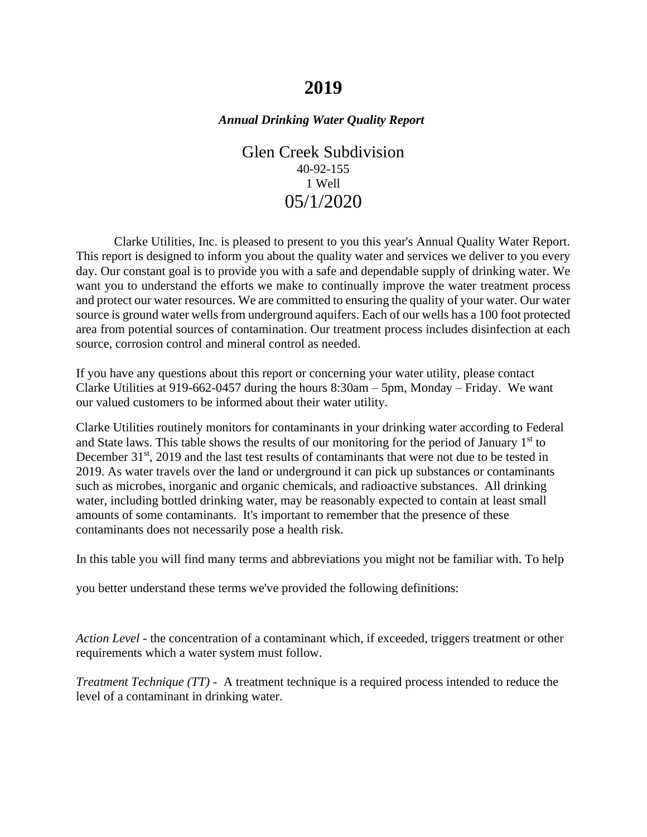# **2019**

## *Annual Drinking Water Quality Report*

Glen Creek Subdivision 40-92-155 1 Well 05/1/2020

Clarke Utilities, Inc. is pleased to present to you this year's Annual Quality Water Report. This report is designed to inform you about the quality water and services we deliver to you every day. Our constant goal is to provide you with a safe and dependable supply of drinking water. We want you to understand the efforts we make to continually improve the water treatment process and protect our water resources. We are committed to ensuring the quality of your water. Our water source is ground water wells from underground aquifers. Each of our wells has a 100 foot protected area from potential sources of contamination. Our treatment process includes disinfection at each source, corrosion control and mineral control as needed.

If you have any questions about this report or concerning your water utility, please contact Clarke Utilities at 919-662-0457 during the hours 8:30am – 5pm, Monday – Friday. We want our valued customers to be informed about their water utility.

Clarke Utilities routinely monitors for contaminants in your drinking water according to Federal and State laws. This table shows the results of our monitoring for the period of January  $1<sup>st</sup>$  to December 31<sup>st</sup>, 2019 and the last test results of contaminants that were not due to be tested in 2019. As water travels over the land or underground it can pick up substances or contaminants such as microbes, inorganic and organic chemicals, and radioactive substances. All drinking water, including bottled drinking water, may be reasonably expected to contain at least small amounts of some contaminants. It's important to remember that the presence of these contaminants does not necessarily pose a health risk.

In this table you will find many terms and abbreviations you might not be familiar with. To help

you better understand these terms we've provided the following definitions:

*Action Level* - the concentration of a contaminant which, if exceeded, triggers treatment or other requirements which a water system must follow.

*Treatment Technique (TT)* - A treatment technique is a required process intended to reduce the level of a contaminant in drinking water.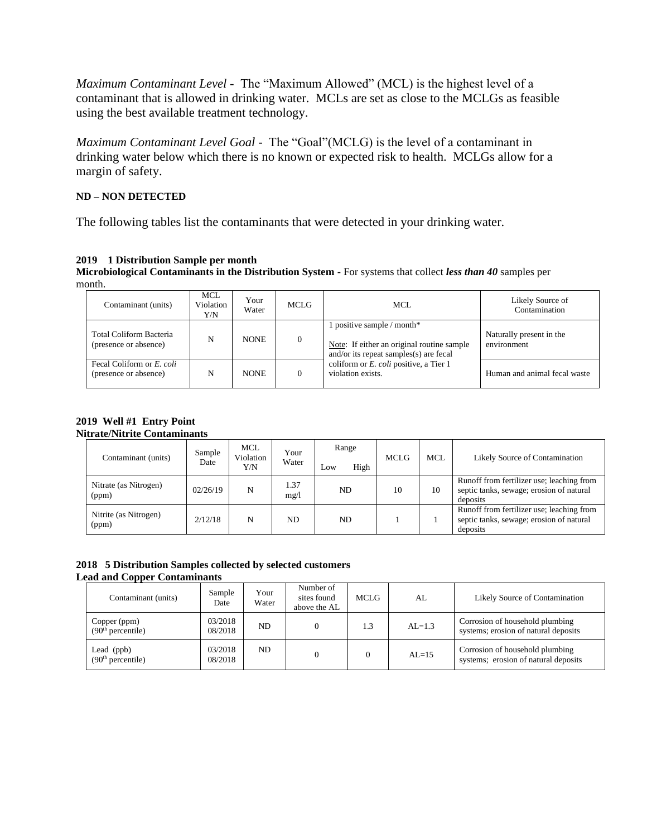*Maximum Contaminant Level* - The "Maximum Allowed" (MCL) is the highest level of a contaminant that is allowed in drinking water. MCLs are set as close to the MCLGs as feasible using the best available treatment technology.

*Maximum Contaminant Level Goal* - The "Goal"(MCLG) is the level of a contaminant in drinking water below which there is no known or expected risk to health. MCLGs allow for a margin of safety.

#### **ND – NON DETECTED**

The following tables list the contaminants that were detected in your drinking water.

## **2019 1 Distribution Sample per month**

**Microbiological Contaminants in the Distribution System -** For systems that collect *less than 40* samples per month.

| Contaminant (units)                                | MCL<br>Violation<br>Y/N | Your<br>Water | MCLG | MCL                                                                                                                | Likely Source of<br>Contamination       |
|----------------------------------------------------|-------------------------|---------------|------|--------------------------------------------------------------------------------------------------------------------|-----------------------------------------|
| Total Coliform Bacteria<br>(presence or absence)   | N                       | <b>NONE</b>   |      | 1 positive sample / month*<br>Note: If either an original routine sample<br>and/or its repeat samples(s) are fecal | Naturally present in the<br>environment |
| Fecal Coliform or E. coli<br>(presence or absence) | N                       | <b>NONE</b>   |      | coliform or <i>E. coli</i> positive, a Tier 1<br>violation exists.                                                 | Human and animal fecal waste            |

#### **2019 Well #1 Entry Point Nitrate/Nitrite Contaminants**

| Contaminant (units)            | Sample<br>Date | MCL<br>Violation<br>Y/N | Your<br>Water | Range<br>High<br>Low | <b>MCLG</b> | <b>MCL</b> | Likely Source of Contamination                                                                    |
|--------------------------------|----------------|-------------------------|---------------|----------------------|-------------|------------|---------------------------------------------------------------------------------------------------|
| Nitrate (as Nitrogen)<br>(ppm) | 02/26/19       | N                       | 1.37<br>mg/1  | ND.                  | 10          | 10         | Runoff from fertilizer use; leaching from<br>septic tanks, sewage; erosion of natural<br>deposits |
| Nitrite (as Nitrogen)<br>(ppm) | 2/12/18        | N                       | ND.           | ND.                  |             |            | Runoff from fertilizer use; leaching from<br>septic tanks, sewage; erosion of natural<br>deposits |

#### **2018 5 Distribution Samples collected by selected customers Lead and Copper Contaminants**

| Contaminant (units)                           | Sample<br>Date     | Your<br>Water | Number of<br>sites found<br>above the AL | MCLG. | AL        | Likely Source of Contamination                                          |
|-----------------------------------------------|--------------------|---------------|------------------------------------------|-------|-----------|-------------------------------------------------------------------------|
| Copper (ppm)<br>(90 <sup>th</sup> percentile) | 03/2018<br>08/2018 | ND            |                                          | 1.3   | $AL=1.3$  | Corrosion of household plumbing<br>systems; erosion of natural deposits |
| Lead (ppb)<br>(90 <sup>th</sup> percentile)   | 03/2018<br>08/2018 | ND.           |                                          |       | $AI = 15$ | Corrosion of household plumbing<br>systems; erosion of natural deposits |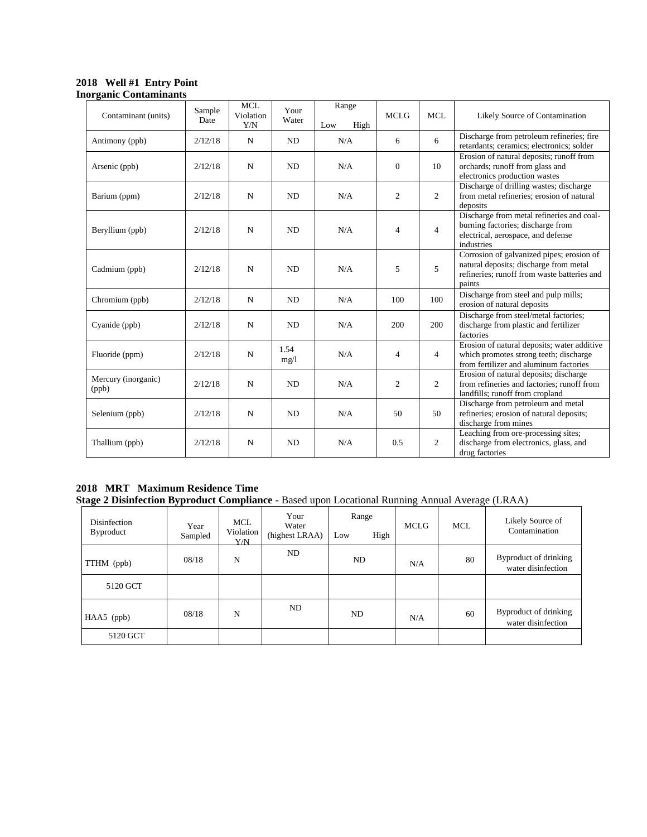## **2018 Well #1 Entry Point Inorganic Contaminants**

| Contaminant (units)          | Sample<br>Date | <b>MCL</b><br>Violation<br>Y/N | Your<br>Water  | Range<br>High<br>Low | <b>MCLG</b>    | <b>MCL</b>     | Likely Source of Contamination                                                                                                               |
|------------------------------|----------------|--------------------------------|----------------|----------------------|----------------|----------------|----------------------------------------------------------------------------------------------------------------------------------------------|
| Antimony (ppb)               | 2/12/18        | N                              | ND             | N/A                  | 6              | 6              | Discharge from petroleum refineries; fire<br>retardants; ceramics; electronics; solder                                                       |
| Arsenic (ppb)                | 2/12/18        | $\mathbf N$                    | N <sub>D</sub> | N/A                  | $\theta$       | 10             | Erosion of natural deposits; runoff from<br>orchards; runoff from glass and<br>electronics production wastes                                 |
| Barium (ppm)                 | 2/12/18        | $\mathbf N$                    | ND             | N/A                  | 2              | $\overline{2}$ | Discharge of drilling wastes; discharge<br>from metal refineries; erosion of natural<br>deposits                                             |
| Beryllium (ppb)              | 2/12/18        | $\mathbf N$                    | ND             | N/A                  | $\overline{4}$ | $\overline{4}$ | Discharge from metal refineries and coal-<br>burning factories; discharge from<br>electrical, aerospace, and defense<br>industries           |
| Cadmium (ppb)                | 2/12/18        | $\mathbf N$                    | ND             | N/A                  | 5              | 5              | Corrosion of galvanized pipes; erosion of<br>natural deposits; discharge from metal<br>refineries; runoff from waste batteries and<br>paints |
| Chromium (ppb)               | 2/12/18        | $\mathbf N$                    | N <sub>D</sub> | N/A                  | 100            | 100            | Discharge from steel and pulp mills;<br>erosion of natural deposits                                                                          |
| Cyanide (ppb)                | 2/12/18        | N                              | ND             | N/A                  | 200            | 200            | Discharge from steel/metal factories;<br>discharge from plastic and fertilizer<br>factories                                                  |
| Fluoride (ppm)               | 2/12/18        | $\mathbf N$                    | 1.54<br>mg/1   | N/A                  | $\overline{4}$ | 4              | Erosion of natural deposits; water additive<br>which promotes strong teeth; discharge<br>from fertilizer and aluminum factories              |
| Mercury (inorganic)<br>(ppb) | 2/12/18        | $\mathbf N$                    | ND             | N/A                  | 2              | $\overline{2}$ | Erosion of natural deposits; discharge<br>from refineries and factories: runoff from<br>landfills; runoff from cropland                      |
| Selenium (ppb)               | 2/12/18        | $\mathbf N$                    | ND             | N/A                  | 50             | 50             | Discharge from petroleum and metal<br>refineries; erosion of natural deposits;<br>discharge from mines                                       |
| Thallium (ppb)               | 2/12/18        | $\mathbf N$                    | N <sub>D</sub> | N/A                  | 0.5            | $\overline{2}$ | Leaching from ore-processing sites;<br>discharge from electronics, glass, and<br>drug factories                                              |

#### **2018 MRT Maximum Residence Time Stage 2 Disinfection Byproduct Compliance -** Based upon Locational Running Annual Average (LRAA)

| Disinfection<br>Byproduct | Year<br>Sampled | <b>MCL</b><br>Violation<br>Y/N | Your<br>Water<br>(highest LRAA) | Range<br>High<br>Low | <b>MCLG</b> | <b>MCL</b> | Likely Source of<br>Contamination           |
|---------------------------|-----------------|--------------------------------|---------------------------------|----------------------|-------------|------------|---------------------------------------------|
| TTHM (ppb)                | 08/18           | N                              | ND                              | ND                   | N/A         | 80         | Byproduct of drinking<br>water disinfection |
| 5120 GCT                  |                 |                                |                                 |                      |             |            |                                             |
| $HAA5$ (ppb)              | 08/18           | N                              | ND                              | ND                   | N/A         | 60         | Byproduct of drinking<br>water disinfection |
| 5120 GCT                  |                 |                                |                                 |                      |             |            |                                             |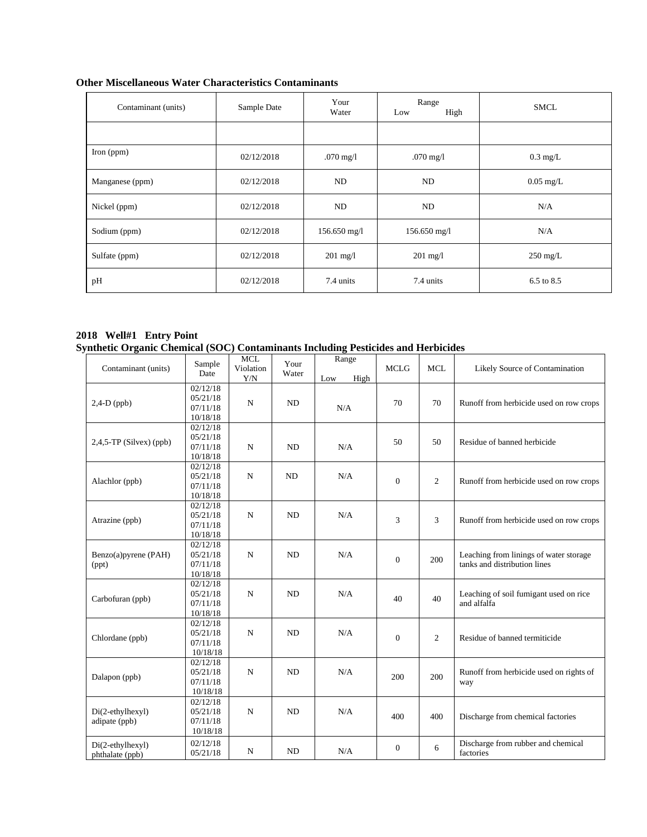| Contaminant (units) | Sample Date | Your<br>Water       | Range<br>High<br>Low | <b>SMCL</b>           |
|---------------------|-------------|---------------------|----------------------|-----------------------|
|                     |             |                     |                      |                       |
| Iron $(ppm)$        | 02/12/2018  | $.070 \text{ mg}/1$ | $.070 \text{ mg}/1$  | $0.3 \text{ mg/L}$    |
| Manganese (ppm)     | 02/12/2018  | ND                  | ND                   | $0.05 \text{ mg/L}$   |
| Nickel (ppm)        | 02/12/2018  | ND                  | ND                   | N/A                   |
| Sodium (ppm)        | 02/12/2018  | $156.650$ mg/l      | $156.650$ mg/l       | N/A                   |
| Sulfate (ppm)       | 02/12/2018  | $201 \text{ mg}/1$  | $201 \text{ mg/l}$   | $250 \text{ mg/L}$    |
| pH                  | 02/12/2018  | 7.4 units           | 7.4 units            | $6.5 \text{ to } 8.5$ |

## **Other Miscellaneous Water Characteristics Contaminants**

#### **2018 Well#1 Entry Point Synthetic Organic Chemical (SOC) Contaminants Including Pesticides and Herbicides**

| Contaminant (units)                 | Sample<br>Date                               | <b>MCL</b><br>Violation<br>Y/N | Your<br>Water | Range<br>High<br>Low | <b>MCLG</b>    | <b>MCL</b>     | Likely Source of Contamination                                         |
|-------------------------------------|----------------------------------------------|--------------------------------|---------------|----------------------|----------------|----------------|------------------------------------------------------------------------|
| $2,4-D$ (ppb)                       | 02/12/18<br>05/21/18<br>07/11/18<br>10/18/18 | $\mathbf N$                    | <b>ND</b>     | N/A                  | 70             | 70             | Runoff from herbicide used on row crops                                |
| $2,4,5$ -TP (Silvex) (ppb)          | 02/12/18<br>05/21/18<br>07/11/18<br>10/18/18 | $\mathbf N$                    | <b>ND</b>     | N/A                  | 50             | 50             | Residue of banned herbicide                                            |
| Alachlor (ppb)                      | 02/12/18<br>05/21/18<br>07/11/18<br>10/18/18 | $\mathbf N$                    | ND            | N/A                  | $\Omega$       | 2              | Runoff from herbicide used on row crops                                |
| Atrazine (ppb)                      | 02/12/18<br>05/21/18<br>07/11/18<br>10/18/18 | $\mathbf N$                    | <b>ND</b>     | N/A                  | 3              | 3              | Runoff from herbicide used on row crops                                |
| Benzo(a)pyrene (PAH)<br>(ppt)       | 02/12/18<br>05/21/18<br>07/11/18<br>10/18/18 | N                              | <b>ND</b>     | N/A                  | $\overline{0}$ | 200            | Leaching from linings of water storage<br>tanks and distribution lines |
| Carbofuran (ppb)                    | 02/12/18<br>05/21/18<br>07/11/18<br>10/18/18 | N                              | <b>ND</b>     | N/A                  | 40             | 40             | Leaching of soil fumigant used on rice<br>and alfalfa                  |
| Chlordane (ppb)                     | 02/12/18<br>05/21/18<br>07/11/18<br>10/18/18 | N                              | <b>ND</b>     | N/A                  | $\overline{0}$ | $\overline{c}$ | Residue of banned termiticide                                          |
| Dalapon (ppb)                       | 02/12/18<br>05/21/18<br>07/11/18<br>10/18/18 | $\mathbf N$                    | <b>ND</b>     | N/A                  | 200            | 200            | Runoff from herbicide used on rights of<br>way                         |
| Di(2-ethylhexyl)<br>adipate (ppb)   | 02/12/18<br>05/21/18<br>07/11/18<br>10/18/18 | N                              | <b>ND</b>     | N/A                  | 400            | 400            | Discharge from chemical factories                                      |
| Di(2-ethylhexyl)<br>phthalate (ppb) | 02/12/18<br>05/21/18                         | $_{\rm N}$                     | <b>ND</b>     | N/A                  | $\mathbf{0}$   | 6              | Discharge from rubber and chemical<br>factories                        |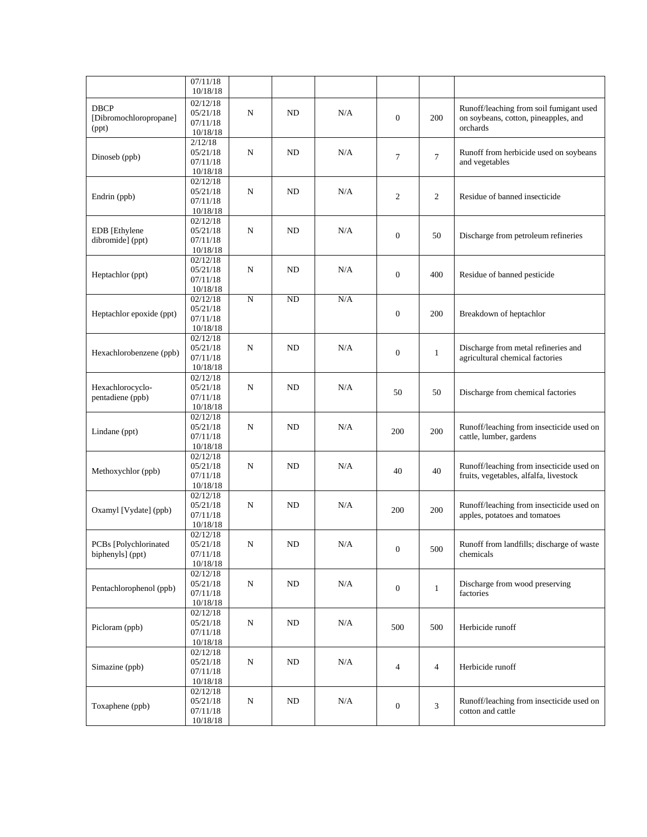|                                                | 07/11/18<br>10/18/18                                      |            |           |     |                          |                |                                                                                             |
|------------------------------------------------|-----------------------------------------------------------|------------|-----------|-----|--------------------------|----------------|---------------------------------------------------------------------------------------------|
| <b>DBCP</b><br>[Dibromochloropropane]<br>(ppt) | 02/12/18<br>05/21/18<br>07/11/18<br>10/18/18              | N          | ND        | N/A | $\overline{0}$           | 200            | Runoff/leaching from soil fumigant used<br>on soybeans, cotton, pineapples, and<br>orchards |
| Dinoseb (ppb)                                  | 2/12/18<br>05/21/18<br>07/11/18<br>10/18/18               | N          | ND        | N/A | $\overline{7}$           | $\tau$         | Runoff from herbicide used on soybeans<br>and vegetables                                    |
| Endrin (ppb)                                   | $02/12/\overline{18}$<br>05/21/18<br>07/11/18<br>10/18/18 | N          | ND        | N/A | $\mathbf{2}$             | $\overline{c}$ | Residue of banned insecticide                                                               |
| EDB [Ethylene<br>dibromide] (ppt)              | 02/12/18<br>05/21/18<br>07/11/18<br>10/18/18              | $_{\rm N}$ | ND        | N/A | $\overline{0}$           | 50             | Discharge from petroleum refineries                                                         |
| Heptachlor (ppt)                               | 02/12/18<br>05/21/18<br>07/11/18<br>10/18/18              | N          | ND        | N/A | $\boldsymbol{0}$         | 400            | Residue of banned pesticide                                                                 |
| Heptachlor epoxide (ppt)                       | 02/12/18<br>05/21/18<br>07/11/18<br>10/18/18              | ${\bf N}$  | <b>ND</b> | N/A | $\boldsymbol{0}$         | 200            | Breakdown of heptachlor                                                                     |
| Hexachlorobenzene (ppb)                        | 02/12/18<br>05/21/18<br>07/11/18<br>10/18/18              | N          | ND        | N/A | $\overline{0}$           | $\mathbf{1}$   | Discharge from metal refineries and<br>agricultural chemical factories                      |
| Hexachlorocyclo-<br>pentadiene (ppb)           | 02/12/18<br>05/21/18<br>07/11/18<br>10/18/18              | N          | ND        | N/A | 50                       | 50             | Discharge from chemical factories                                                           |
| Lindane (ppt)                                  | 02/12/18<br>05/21/18<br>07/11/18<br>10/18/18              | N          | ND        | N/A | 200                      | 200            | Runoff/leaching from insecticide used on<br>cattle, lumber, gardens                         |
| Methoxychlor (ppb)                             | 02/12/18<br>05/21/18<br>07/11/18<br>10/18/18              | N          | ND        | N/A | 40                       | 40             | Runoff/leaching from insecticide used on<br>fruits, vegetables, alfalfa, livestock          |
| Oxamyl [Vydate] (ppb)                          | 02/12/18<br>05/21/18<br>07/11/18<br>10/18/18              | N          | ND        | N/A | 200                      | 200            | Runoff/leaching from insecticide used on<br>apples, potatoes and tomatoes                   |
| PCBs [Polychlorinated<br>biphenyls] (ppt)      | 02/12/18<br>05/21/18<br>07/11/18<br>10/18/18              | ${\bf N}$  | ND        | N/A | $\overline{0}$           | 500            | Runoff from landfills; discharge of waste<br>chemicals                                      |
| Pentachlorophenol (ppb)                        | 02/12/18<br>05/21/18<br>07/11/18<br>10/18/18              | N          | ND        | N/A | $\mathbf{0}$             | $\mathbf{1}$   | Discharge from wood preserving<br>factories                                                 |
| Picloram (ppb)                                 | 02/12/18<br>05/21/18<br>07/11/18<br>10/18/18              | ${\bf N}$  | $\rm ND$  | N/A | 500                      | 500            | Herbicide runoff                                                                            |
| Simazine (ppb)                                 | 02/12/18<br>05/21/18<br>07/11/18<br>10/18/18              | ${\bf N}$  | ND        | N/A | $\overline{\mathcal{L}}$ | $\overline{4}$ | Herbicide runoff                                                                            |
| Toxaphene (ppb)                                | 02/12/18<br>05/21/18<br>07/11/18<br>10/18/18              | ${\bf N}$  | ND        | N/A | $\mathbf{0}$             | 3              | Runoff/leaching from insecticide used on<br>cotton and cattle                               |
|                                                |                                                           |            |           |     |                          |                |                                                                                             |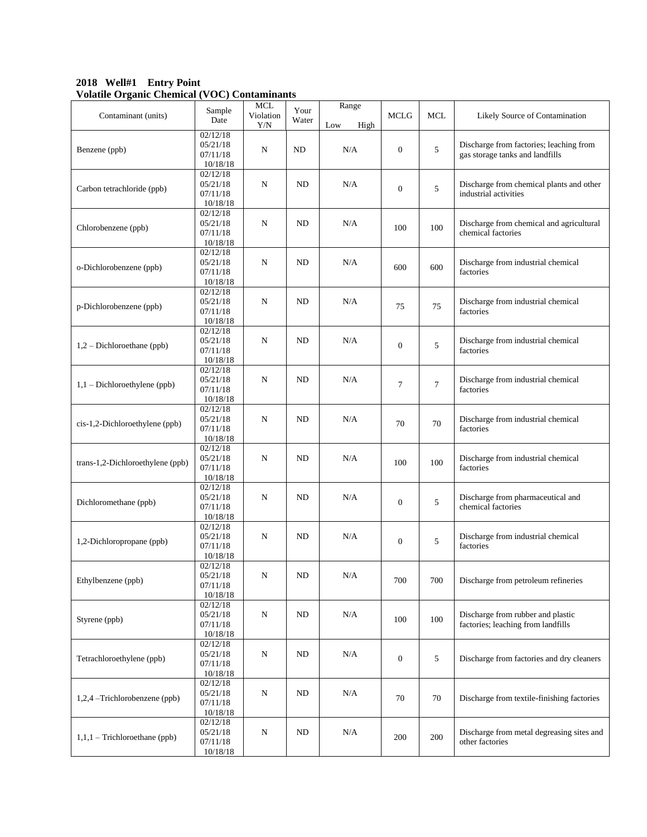**2018 Well#1 Entry Point Volatile Organic Chemical (VOC) Contaminants**

| Contaminant (units)              | Sample<br>Date                               | <b>MCL</b><br>Violation<br>Y/N | Your<br>Water | Range<br>Low<br>High | <b>MCLG</b>      | <b>MCL</b> | Likely Source of Contamination                                             |
|----------------------------------|----------------------------------------------|--------------------------------|---------------|----------------------|------------------|------------|----------------------------------------------------------------------------|
| Benzene (ppb)                    | 02/12/18<br>05/21/18<br>07/11/18<br>10/18/18 | N                              | ND            | N/A                  | $\overline{0}$   | 5          | Discharge from factories; leaching from<br>gas storage tanks and landfills |
| Carbon tetrachloride (ppb)       | 02/12/18<br>05/21/18<br>07/11/18<br>10/18/18 | N                              | ND            | N/A                  | $\theta$         | 5          | Discharge from chemical plants and other<br>industrial activities          |
| Chlorobenzene (ppb)              | 02/12/18<br>05/21/18<br>07/11/18<br>10/18/18 | $\mathbf N$                    | <b>ND</b>     | N/A                  | 100              | 100        | Discharge from chemical and agricultural<br>chemical factories             |
| o-Dichlorobenzene (ppb)          | 02/12/18<br>05/21/18<br>07/11/18<br>10/18/18 | N                              | ND            | N/A                  | 600              | 600        | Discharge from industrial chemical<br>factories                            |
| p-Dichlorobenzene (ppb)          | 02/12/18<br>05/21/18<br>07/11/18<br>10/18/18 | N                              | ND            | N/A                  | 75               | 75         | Discharge from industrial chemical<br>factories                            |
| $1,2$ – Dichloroethane (ppb)     | 02/12/18<br>05/21/18<br>07/11/18<br>10/18/18 | $\mathbf N$                    | ND            | N/A                  | $\overline{0}$   | 5          | Discharge from industrial chemical<br>factories                            |
| $1,1$ – Dichloroethylene (ppb)   | 02/12/18<br>05/21/18<br>07/11/18<br>10/18/18 | N                              | ND            | N/A                  | $\overline{7}$   | $\tau$     | Discharge from industrial chemical<br>factories                            |
| cis-1,2-Dichloroethylene (ppb)   | 02/12/18<br>05/21/18<br>07/11/18<br>10/18/18 | N                              | ND            | N/A                  | 70               | 70         | Discharge from industrial chemical<br>factories                            |
| trans-1,2-Dichloroethylene (ppb) | 02/12/18<br>05/21/18<br>07/11/18<br>10/18/18 | N                              | <b>ND</b>     | N/A                  | 100              | 100        | Discharge from industrial chemical<br>factories                            |
| Dichloromethane (ppb)            | 02/12/18<br>05/21/18<br>07/11/18<br>10/18/18 | N                              | <b>ND</b>     | N/A                  | $\mathbf{0}$     | 5          | Discharge from pharmaceutical and<br>chemical factories                    |
| 1,2-Dichloropropane (ppb)        | 02/12/18<br>05/21/18<br>07/11/18<br>10/18/18 | N                              | ND            | N/A                  | $\mathbf{0}$     | 5          | Discharge from industrial chemical<br>factories                            |
| Ethylbenzene (ppb)               | 02/12/18<br>05/21/18<br>07/11/18<br>10/18/18 | N                              | ND            | N/A                  | 700              | 700        | Discharge from petroleum refineries                                        |
| Styrene (ppb)                    | 02/12/18<br>05/21/18<br>07/11/18<br>10/18/18 | ${\bf N}$                      | $\rm ND$      | N/A                  | 100              | 100        | Discharge from rubber and plastic<br>factories; leaching from landfills    |
| Tetrachloroethylene (ppb)        | 02/12/18<br>05/21/18<br>07/11/18<br>10/18/18 | ${\bf N}$                      | ND            | N/A                  | $\boldsymbol{0}$ | 5          | Discharge from factories and dry cleaners                                  |
| 1,2,4 -Trichlorobenzene (ppb)    | 02/12/18<br>05/21/18<br>07/11/18<br>10/18/18 | N                              | ND            | N/A                  | 70               | 70         | Discharge from textile-finishing factories                                 |
| $1,1,1$ – Trichloroethane (ppb)  | 02/12/18<br>05/21/18<br>07/11/18<br>10/18/18 | N                              | $\rm ND$      | N/A                  | 200              | 200        | Discharge from metal degreasing sites and<br>other factories               |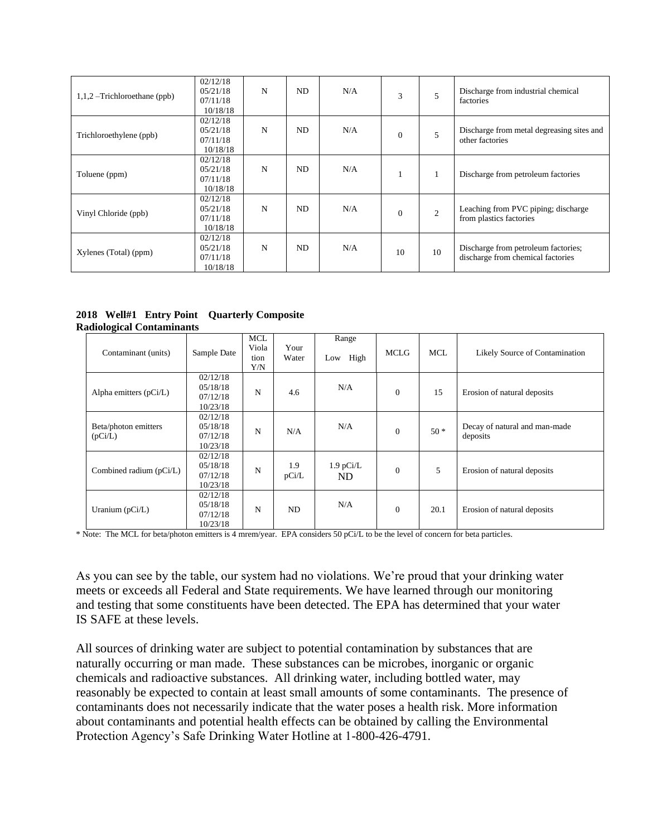| $1,1,2$ –Trichloroethane (ppb) | 02/12/18<br>05/21/18<br>07/11/18<br>10/18/18  | N | ND. | N/A | 3            | 5              | Discharge from industrial chemical<br>factories                          |
|--------------------------------|-----------------------------------------------|---|-----|-----|--------------|----------------|--------------------------------------------------------------------------|
| Trichloroethylene (ppb)        | 02/12/18<br>05/21/18<br>07/11/18<br>10/18/18  | N | ND. | N/A | $\mathbf{0}$ | 5              | Discharge from metal degreasing sites and<br>other factories             |
| Toluene (ppm)                  | 02/12/18<br>05/21/18<br>07/11/18<br>10/18/18  | N | ND. | N/A |              |                | Discharge from petroleum factories                                       |
| Vinyl Chloride (ppb)           | 02/12/18<br>0.5/21/18<br>07/11/18<br>10/18/18 | N | ND. | N/A | $\Omega$     | $\overline{c}$ | Leaching from PVC piping; discharge<br>from plastics factories           |
| Xylenes (Total) (ppm)          | 02/12/18<br>05/21/18<br>07/11/18<br>10/18/18  | N | ND  | N/A | 10           | 10             | Discharge from petroleum factories;<br>discharge from chemical factories |

**2018 Well#1 Entry Point Quarterly Composite Radiological Contaminants**

| Contaminant (units)             | Sample Date                                  | MCL<br>Viola<br>tion<br>Y/N | Your<br>Water | Range<br>High<br>Low | <b>MCLG</b>    | <b>MCL</b> | Likely Source of Contamination            |
|---------------------------------|----------------------------------------------|-----------------------------|---------------|----------------------|----------------|------------|-------------------------------------------|
| Alpha emitters (pCi/L)          | 02/12/18<br>05/18/18<br>07/12/18<br>10/23/18 | N                           | 4.6           | N/A                  | $\overline{0}$ | 15         | Erosion of natural deposits               |
| Beta/photon emitters<br>(pCi/L) | 02/12/18<br>05/18/18<br>07/12/18<br>10/23/18 | N                           | N/A           | N/A                  | $\mathbf{0}$   | $50*$      | Decay of natural and man-made<br>deposits |
| Combined radium (pCi/L)         | 02/12/18<br>05/18/18<br>07/12/18<br>10/23/18 | N                           | 1.9<br>pCi/L  | $1.9$ pCi/L<br>ND.   | $\mathbf{0}$   | 5          | Erosion of natural deposits               |
| Uranium $(pCi/L)$               | 02/12/18<br>05/18/18<br>07/12/18<br>10/23/18 | N                           | ND            | N/A                  | $\overline{0}$ | 20.1       | Erosion of natural deposits               |

\* Note: The MCL for beta/photon emitters is 4 mrem/year. EPA considers 50 pCi/L to be the level of concern for beta particles.

As you can see by the table, our system had no violations. We're proud that your drinking water meets or exceeds all Federal and State requirements. We have learned through our monitoring and testing that some constituents have been detected. The EPA has determined that your water IS SAFE at these levels.

All sources of drinking water are subject to potential contamination by substances that are naturally occurring or man made. These substances can be microbes, inorganic or organic chemicals and radioactive substances. All drinking water, including bottled water, may reasonably be expected to contain at least small amounts of some contaminants. The presence of contaminants does not necessarily indicate that the water poses a health risk. More information about contaminants and potential health effects can be obtained by calling the Environmental Protection Agency's Safe Drinking Water Hotline at 1-800-426-4791.